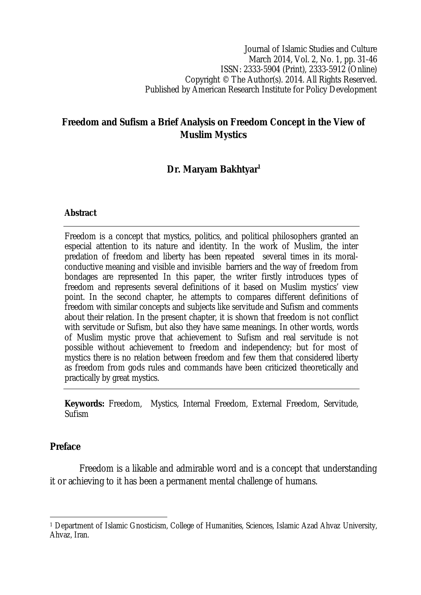Journal of Islamic Studies and Culture March 2014, Vol. 2, No. 1, pp. 31-46 ISSN: 2333-5904 (Print), 2333-5912 (Online) Copyright © The Author(s). 2014. All Rights Reserved. Published by American Research Institute for Policy Development

# **Freedom and Sufism a Brief Analysis on Freedom Concept in the View of Muslim Mystics**

# **Dr. Maryam Bakhtyar<sup>1</sup>**

#### **Abstract**

Freedom is a concept that mystics, politics, and political philosophers granted an especial attention to its nature and identity. In the work of Muslim, the inter predation of freedom and liberty has been repeated several times in its moralconductive meaning and visible and invisible barriers and the way of freedom from bondages are represented In this paper, the writer firstly introduces types of freedom and represents several definitions of it based on Muslim mystics' view point. In the second chapter, he attempts to compares different definitions of freedom with similar concepts and subjects like servitude and Sufism and comments about their relation. In the present chapter, it is shown that freedom is not conflict with servitude or Sufism, but also they have same meanings. In other words, words of Muslim mystic prove that achievement to Sufism and real servitude is not possible without achievement to freedom and independency; but for most of mystics there is no relation between freedom and few them that considered liberty as freedom from gods rules and commands have been criticized theoretically and practically by great mystics.

**Keywords:** Freedom, Mystics, Internal Freedom, External Freedom, Servitude, Sufism

### **Preface**

Freedom is a likable and admirable word and is a concept that understanding it or achieving to it has been a permanent mental challenge of humans.

 $\overline{\phantom{a}}$ <sup>1</sup> Department of Islamic Gnosticism, College of Humanities, Sciences, Islamic Azad Ahvaz University, Ahvaz, Iran.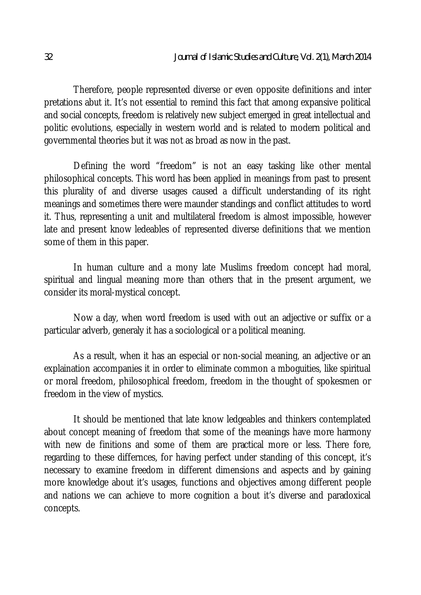Therefore, people represented diverse or even opposite definitions and inter pretations abut it. It's not essential to remind this fact that among expansive political and social concepts, freedom is relatively new subject emerged in great intellectual and politic evolutions, especially in western world and is related to modern political and governmental theories but it was not as broad as now in the past.

Defining the word "freedom" is not an easy tasking like other mental philosophical concepts. This word has been applied in meanings from past to present this plurality of and diverse usages caused a difficult understanding of its right meanings and sometimes there were maunder standings and conflict attitudes to word it. Thus, representing a unit and multilateral freedom is almost impossible, however late and present know ledeables of represented diverse definitions that we mention some of them in this paper.

In human culture and a mony late Muslims freedom concept had moral, spiritual and lingual meaning more than others that in the present argument, we consider its moral-mystical concept.

Now a day, when word freedom is used with out an adjective or suffix or a particular adverb, generaly it has a sociological or a political meaning.

As a result, when it has an especial or non-social meaning, an adjective or an explaination accompanies it in order to eliminate common a mboguities, like spiritual or moral freedom, philosophical freedom, freedom in the thought of spokesmen or freedom in the view of mystics.

It should be mentioned that late know ledgeables and thinkers contemplated about concept meaning of freedom that some of the meanings have more harmony with new de finitions and some of them are practical more or less. There fore, regarding to these differnces, for having perfect under standing of this concept, it's necessary to examine freedom in different dimensions and aspects and by gaining more knowledge about it's usages, functions and objectives among different people and nations we can achieve to more cognition a bout it's diverse and paradoxical concepts.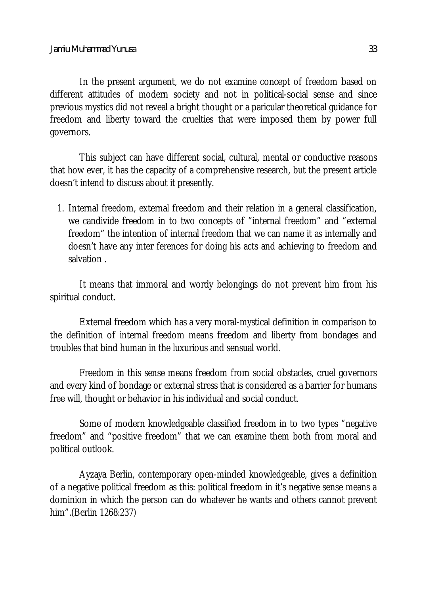In the present argument, we do not examine concept of freedom based on different attitudes of modern society and not in political-social sense and since previous mystics did not reveal a bright thought or a paricular theoretical guidance for freedom and liberty toward the cruelties that were imposed them by power full governors.

This subject can have different social, cultural, mental or conductive reasons that how ever, it has the capacity of a comprehensive research, but the present article doesn't intend to discuss about it presently.

1. Internal freedom, external freedom and their relation in a general classification, we candivide freedom in to two concepts of "internal freedom" and "external freedom" the intention of internal freedom that we can name it as internally and doesn't have any inter ferences for doing his acts and achieving to freedom and salvation .

It means that immoral and wordy belongings do not prevent him from his spiritual conduct.

External freedom which has a very moral-mystical definition in comparison to the definition of internal freedom means freedom and liberty from bondages and troubles that bind human in the luxurious and sensual world.

Freedom in this sense means freedom from social obstacles, cruel governors and every kind of bondage or external stress that is considered as a barrier for humans free will, thought or behavior in his individual and social conduct.

Some of modern knowledgeable classified freedom in to two types "negative freedom" and "positive freedom" that we can examine them both from moral and political outlook.

Ayzaya Berlin, contemporary open-minded knowledgeable, gives a definition of a negative political freedom as this: political freedom in it's negative sense means a dominion in which the person can do whatever he wants and others cannot prevent him".(Berlin 1268:237)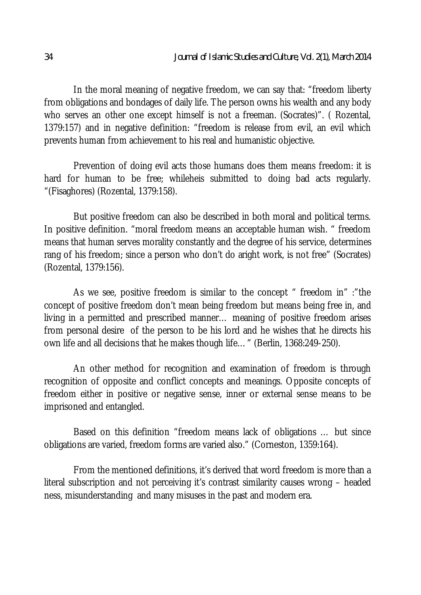In the moral meaning of negative freedom, we can say that: "freedom liberty from obligations and bondages of daily life. The person owns his wealth and any body who serves an other one except himself is not a freeman. (Socrates)". (Rozental, 1379:157) and in negative definition: "freedom is release from evil, an evil which prevents human from achievement to his real and humanistic objective.

Prevention of doing evil acts those humans does them means freedom: it is hard for human to be free; whileheis submitted to doing bad acts regularly. "(Fisaghores) (Rozental, 1379:158).

But positive freedom can also be described in both moral and political terms. In positive definition. "moral freedom means an acceptable human wish. " freedom means that human serves morality constantly and the degree of his service, determines rang of his freedom; since a person who don't do aright work, is not free" (Socrates) (Rozental, 1379:156).

As we see, positive freedom is similar to the concept " freedom in" :"the concept of positive freedom don't mean being freedom but means being free in, and living in a permitted and prescribed manner… meaning of positive freedom arises from personal desire of the person to be his lord and he wishes that he directs his own life and all decisions that he makes though life…" (Berlin, 1368:249-250).

An other method for recognition and examination of freedom is through recognition of opposite and conflict concepts and meanings. Opposite concepts of freedom either in positive or negative sense, inner or external sense means to be imprisoned and entangled.

Based on this definition "freedom means lack of obligations … but since obligations are varied, freedom forms are varied also." (Corneston, 1359:164).

From the mentioned definitions, it's derived that word freedom is more than a literal subscription and not perceiving it's contrast similarity causes wrong – headed ness, misunderstanding and many misuses in the past and modern era.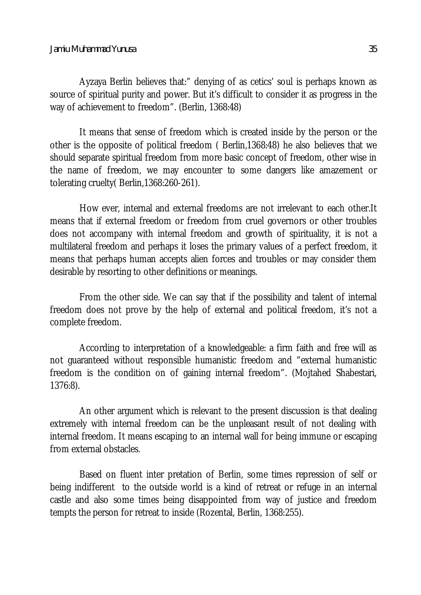Ayzaya Berlin believes that:" denying of as cetics' soul is perhaps known as source of spiritual purity and power. But it's difficult to consider it as progress in the way of achievement to freedom". (Berlin, 1368:48)

It means that sense of freedom which is created inside by the person or the other is the opposite of political freedom ( Berlin,1368:48) he also believes that we should separate spiritual freedom from more basic concept of freedom, other wise in the name of freedom, we may encounter to some dangers like amazement or tolerating cruelty( Berlin,1368:260-261).

How ever, internal and external freedoms are not irrelevant to each other.It means that if external freedom or freedom from cruel governors or other troubles does not accompany with internal freedom and growth of spirituality, it is not a multilateral freedom and perhaps it loses the primary values of a perfect freedom, it means that perhaps human accepts alien forces and troubles or may consider them desirable by resorting to other definitions or meanings.

From the other side. We can say that if the possibility and talent of internal freedom does not prove by the help of external and political freedom, it's not a complete freedom.

According to interpretation of a knowledgeable: a firm faith and free will as not guaranteed without responsible humanistic freedom and "external humanistic freedom is the condition on of gaining internal freedom". (Mojtahed Shabestari, 1376:8).

An other argument which is relevant to the present discussion is that dealing extremely with internal freedom can be the unpleasant result of not dealing with internal freedom. It means escaping to an internal wall for being immune or escaping from external obstacles.

Based on fluent inter pretation of Berlin, some times repression of self or being indifferent to the outside world is a kind of retreat or refuge in an internal castle and also some times being disappointed from way of justice and freedom tempts the person for retreat to inside (Rozental, Berlin, 1368:255).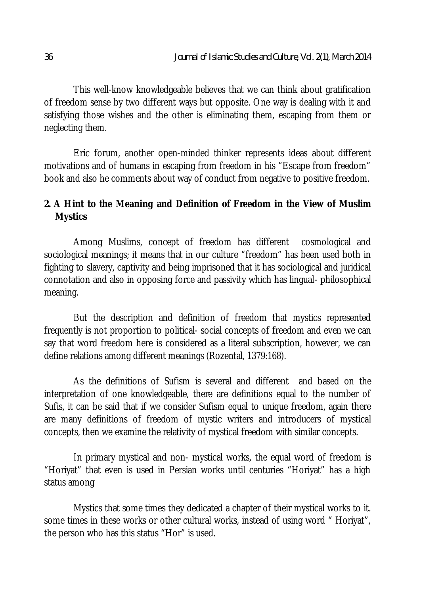This well-know knowledgeable believes that we can think about gratification of freedom sense by two different ways but opposite. One way is dealing with it and satisfying those wishes and the other is eliminating them, escaping from them or neglecting them.

Eric forum, another open-minded thinker represents ideas about different motivations and of humans in escaping from freedom in his "Escape from freedom" book and also he comments about way of conduct from negative to positive freedom.

# **2. A Hint to the Meaning and Definition of Freedom in the View of Muslim Mystics**

Among Muslims, concept of freedom has different cosmological and sociological meanings; it means that in our culture "freedom" has been used both in fighting to slavery, captivity and being imprisoned that it has sociological and juridical connotation and also in opposing force and passivity which has lingual- philosophical meaning.

But the description and definition of freedom that mystics represented frequently is not proportion to political- social concepts of freedom and even we can say that word freedom here is considered as a literal subscription, however, we can define relations among different meanings (Rozental, 1379:168).

As the definitions of Sufism is several and different and based on the interpretation of one knowledgeable, there are definitions equal to the number of Sufis, it can be said that if we consider Sufism equal to unique freedom, again there are many definitions of freedom of mystic writers and introducers of mystical concepts, then we examine the relativity of mystical freedom with similar concepts.

In primary mystical and non- mystical works, the equal word of freedom is "Horiyat" that even is used in Persian works until centuries "Horiyat" has a high status among

Mystics that some times they dedicated a chapter of their mystical works to it. some times in these works or other cultural works, instead of using word "Horiyat", the person who has this status "Hor" is used.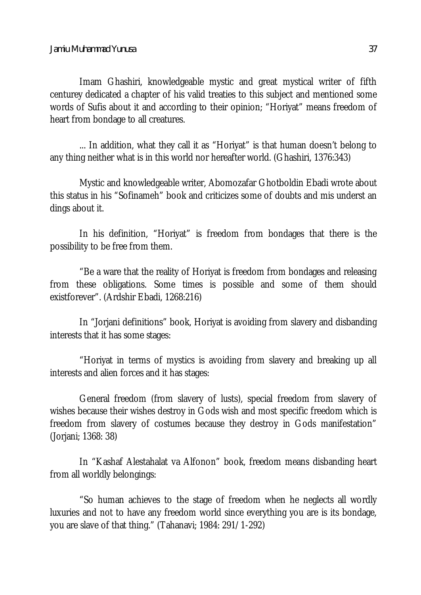Imam Ghashiri, knowledgeable mystic and great mystical writer of fifth centurey dedicated a chapter of his valid treaties to this subject and mentioned some words of Sufis about it and according to their opinion; "Horiyat" means freedom of heart from bondage to all creatures.

... In addition, what they call it as "Horiyat" is that human doesn't belong to any thing neither what is in this world nor hereafter world. (Ghashiri, 1376:343)

Mystic and knowledgeable writer, Abomozafar Ghotboldin Ebadi wrote about this status in his "Sofinameh" book and criticizes some of doubts and mis underst an dings about it.

In his definition, "Horiyat" is freedom from bondages that there is the possibility to be free from them.

"Be a ware that the reality of Horiyat is freedom from bondages and releasing from these obligations. Some times is possible and some of them should existforever". (Ardshir Ebadi, 1268:216)

In "Jorjani definitions" book, Horiyat is avoiding from slavery and disbanding interests that it has some stages:

"Horiyat in terms of mystics is avoiding from slavery and breaking up all interests and alien forces and it has stages:

General freedom (from slavery of lusts), special freedom from slavery of wishes because their wishes destroy in Gods wish and most specific freedom which is freedom from slavery of costumes because they destroy in Gods manifestation" (Jorjani; 1368: 38)

In "Kashaf Alestahalat va Alfonon" book, freedom means disbanding heart from all worldly belongings:

"So human achieves to the stage of freedom when he neglects all wordly luxuries and not to have any freedom world since everything you are is its bondage, you are slave of that thing." (Tahanavi; 1984: 291/1-292)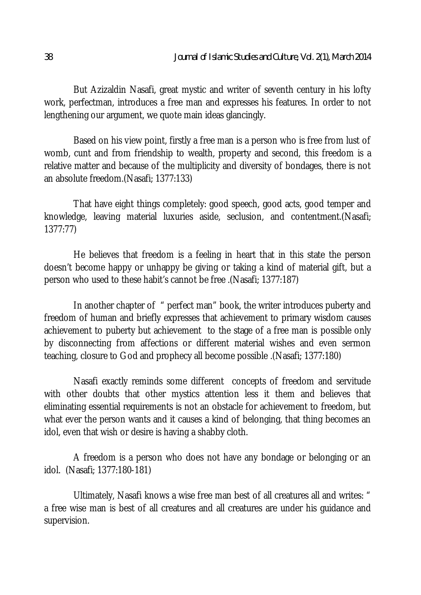But Azizaldin Nasafi, great mystic and writer of seventh century in his lofty work, perfectman, introduces a free man and expresses his features. In order to not lengthening our argument, we quote main ideas glancingly.

Based on his view point, firstly a free man is a person who is free from lust of womb, cunt and from friendship to wealth, property and second, this freedom is a relative matter and because of the multiplicity and diversity of bondages, there is not an absolute freedom.(Nasafi; 1377:133)

That have eight things completely: good speech, good acts, good temper and knowledge, leaving material luxuries aside, seclusion, and contentment.(Nasafi; 1377:77)

He believes that freedom is a feeling in heart that in this state the person doesn't become happy or unhappy be giving or taking a kind of material gift, but a person who used to these habit's cannot be free .(Nasafi; 1377:187)

In another chapter of " perfect man" book, the writer introduces puberty and freedom of human and briefly expresses that achievement to primary wisdom causes achievement to puberty but achievement to the stage of a free man is possible only by disconnecting from affections or different material wishes and even sermon teaching, closure to God and prophecy all become possible .(Nasafi; 1377:180)

Nasafi exactly reminds some different concepts of freedom and servitude with other doubts that other mystics attention less it them and believes that eliminating essential requirements is not an obstacle for achievement to freedom, but what ever the person wants and it causes a kind of belonging, that thing becomes an idol, even that wish or desire is having a shabby cloth.

A freedom is a person who does not have any bondage or belonging or an idol. (Nasafi; 1377:180-181)

Ultimately, Nasafi knows a wise free man best of all creatures all and writes: " a free wise man is best of all creatures and all creatures are under his guidance and supervision.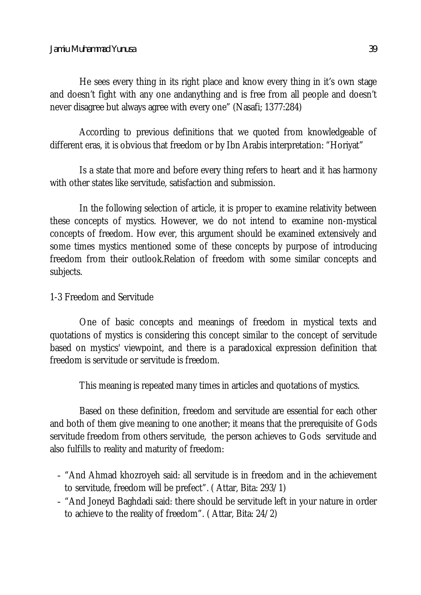He sees every thing in its right place and know every thing in it's own stage and doesn't fight with any one andanything and is free from all people and doesn't never disagree but always agree with every one" (Nasafi; 1377:284)

According to previous definitions that we quoted from knowledgeable of different eras, it is obvious that freedom or by Ibn Arabis interpretation: "Horiyat"

Is a state that more and before every thing refers to heart and it has harmony with other states like servitude, satisfaction and submission.

In the following selection of article, it is proper to examine relativity between these concepts of mystics. However, we do not intend to examine non-mystical concepts of freedom. How ever, this argument should be examined extensively and some times mystics mentioned some of these concepts by purpose of introducing freedom from their outlook.Relation of freedom with some similar concepts and subjects.

### 1-3 Freedom and Servitude

One of basic concepts and meanings of freedom in mystical texts and quotations of mystics is considering this concept similar to the concept of servitude based on mystics' viewpoint, and there is a paradoxical expression definition that freedom is servitude or servitude is freedom.

This meaning is repeated many times in articles and quotations of mystics.

Based on these definition, freedom and servitude are essential for each other and both of them give meaning to one another; it means that the prerequisite of Gods servitude freedom from others servitude, the person achieves to Gods servitude and also fulfills to reality and maturity of freedom:

- "And Ahmad khozroyeh said: all servitude is in freedom and in the achievement to servitude, freedom will be prefect". ( Attar, Bita: 293/1)
- "And Joneyd Baghdadi said: there should be servitude left in your nature in order to achieve to the reality of freedom". ( Attar, Bita: 24/2)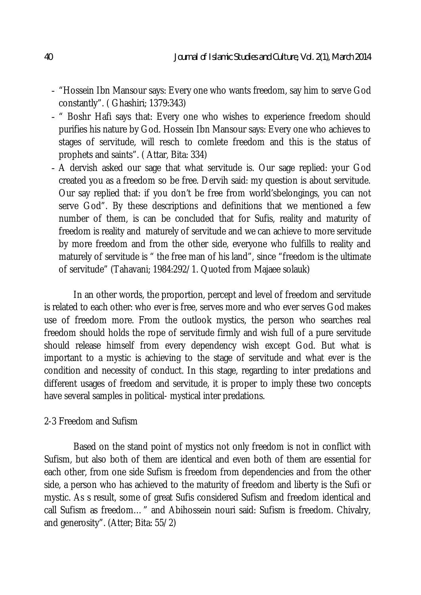- "Hossein Ibn Mansour says: Every one who wants freedom, say him to serve God constantly". ( Ghashiri; 1379:343)
- " Boshr Hafi says that: Every one who wishes to experience freedom should purifies his nature by God. Hossein Ibn Mansour says: Every one who achieves to stages of servitude, will resch to comlete freedom and this is the status of prophets and saints". ( Attar, Bita: 334)
- A dervish asked our sage that what servitude is. Our sage replied: your God created you as a freedom so be free. Dervih said: my question is about servitude. Our say replied that: if you don't be free from world'sbelongings, you can not serve God". By these descriptions and definitions that we mentioned a few number of them, is can be concluded that for Sufis, reality and maturity of freedom is reality and maturely of servitude and we can achieve to more servitude by more freedom and from the other side, everyone who fulfills to reality and maturely of servitude is " the free man of his land", since "freedom is the ultimate of servitude" (Tahavani; 1984:292/1. Quoted from Majaee solauk)

In an other words, the proportion, percept and level of freedom and servitude is related to each other: who ever is free, serves more and who ever serves God makes use of freedom more. From the outlook mystics, the person who searches real freedom should holds the rope of servitude firmly and wish full of a pure servitude should release himself from every dependency wish except God. But what is important to a mystic is achieving to the stage of servitude and what ever is the condition and necessity of conduct. In this stage, regarding to inter predations and different usages of freedom and servitude, it is proper to imply these two concepts have several samples in political- mystical inter predations.

### 2-3 Freedom and Sufism

Based on the stand point of mystics not only freedom is not in conflict with Sufism, but also both of them are identical and even both of them are essential for each other, from one side Sufism is freedom from dependencies and from the other side, a person who has achieved to the maturity of freedom and liberty is the Sufi or mystic. As s result, some of great Sufis considered Sufism and freedom identical and call Sufism as freedom…" and Abihossein nouri said: Sufism is freedom. Chivalry, and generosity". (Atter; Bita: 55/2)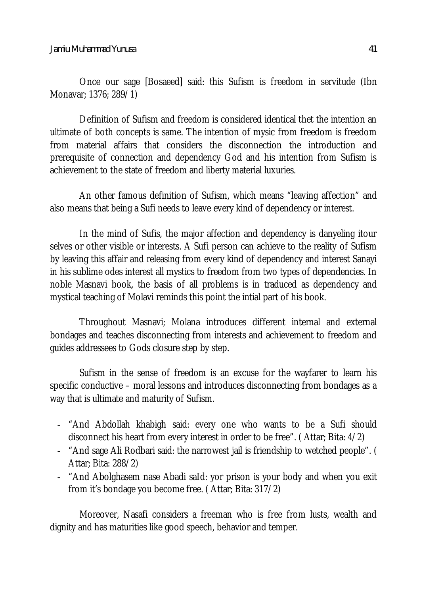Once our sage [Bosaeed] said: this Sufism is freedom in servitude (Ibn Monavar; 1376; 289/1)

Definition of Sufism and freedom is considered identical thet the intention an ultimate of both concepts is same. The intention of mysic from freedom is freedom from material affairs that considers the disconnection the introduction and prerequisite of connection and dependency God and his intention from Sufism is achievement to the state of freedom and liberty material luxuries.

An other famous definition of Sufism, which means "leaving affection" and also means that being a Sufi needs to leave every kind of dependency or interest.

In the mind of Sufis, the major affection and dependency is danyeling itour selves or other visible or interests. A Sufi person can achieve to the reality of Sufism by leaving this affair and releasing from every kind of dependency and interest Sanayi in his sublime odes interest all mystics to freedom from two types of dependencies. In noble Masnavi book, the basis of all problems is in traduced as dependency and mystical teaching of Molavi reminds this point the intial part of his book.

Throughout Masnavi; Molana introduces different internal and external bondages and teaches disconnecting from interests and achievement to freedom and guides addressees to Gods closure step by step.

Sufism in the sense of freedom is an excuse for the wayfarer to learn his specific conductive – moral lessons and introduces disconnecting from bondages as a way that is ultimate and maturity of Sufism.

- "And Abdollah khabigh said: every one who wants to be a Sufi should disconnect his heart from every interest in order to be free". ( Attar; Bita: 4/2)
- "And sage Ali Rodbari said: the narrowest jail is friendship to wetched people". ( Attar; Bita: 288/2)
- "And Abolghasem nase Abadi saId: yor prison is your body and when you exit from it's bondage you become free. ( Attar; Bita: 317/2)

Moreover, Nasafi considers a freeman who is free from lusts, wealth and dignity and has maturities like good speech, behavior and temper.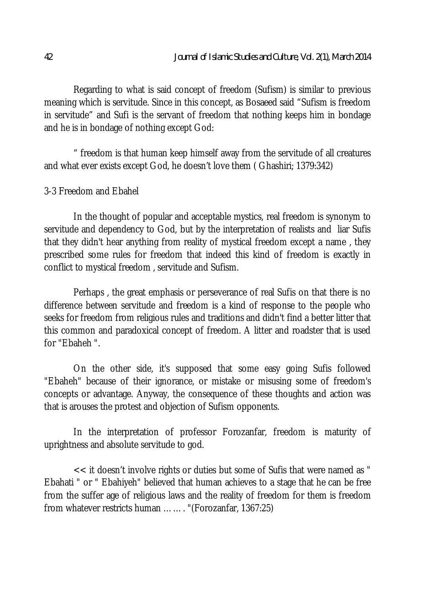Regarding to what is said concept of freedom (Sufism) is similar to previous meaning which is servitude. Since in this concept, as Bosaeed said "Sufism is freedom in servitude" and Sufi is the servant of freedom that nothing keeps him in bondage and he is in bondage of nothing except God:

" freedom is that human keep himself away from the servitude of all creatures and what ever exists except God, he doesn't love them ( Ghashiri; 1379:342)

#### 3-3 Freedom and Ebahel

In the thought of popular and acceptable mystics, real freedom is synonym to servitude and dependency to God, but by the interpretation of realists and liar Sufis that they didn't hear anything from reality of mystical freedom except a name , they prescribed some rules for freedom that indeed this kind of freedom is exactly in conflict to mystical freedom , servitude and Sufism.

Perhaps , the great emphasis or perseverance of real Sufis on that there is no difference between servitude and freedom is a kind of response to the people who seeks for freedom from religious rules and traditions and didn't find a better litter that this common and paradoxical concept of freedom. A litter and roadster that is used for "Ebaheh ".

On the other side, it's supposed that some easy going Sufis followed "Ebaheh" because of their ignorance, or mistake or misusing some of freedom's concepts or advantage. Anyway, the consequence of these thoughts and action was that is arouses the protest and objection of Sufism opponents.

In the interpretation of professor Forozanfar, freedom is maturity of uprightness and absolute servitude to god.

<< it doesn't involve rights or duties but some of Sufis that were named as " Ebahati " or " Ebahiyeh" believed that human achieves to a stage that he can be free from the suffer age of religious laws and the reality of freedom for them is freedom from whatever restricts human ……. "(Forozanfar, 1367:25)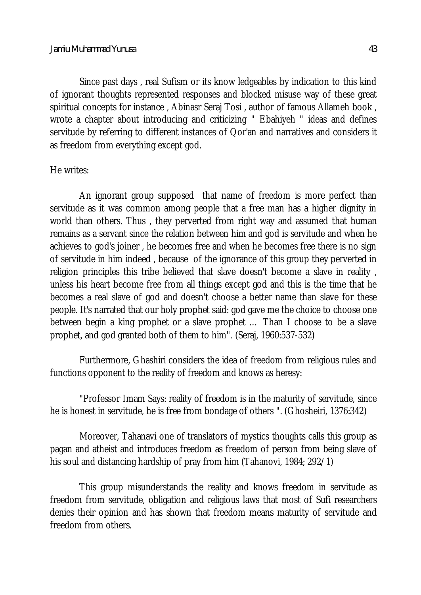Since past days , real Sufism or its know ledgeables by indication to this kind of ignorant thoughts represented responses and blocked misuse way of these great spiritual concepts for instance , Abinasr Seraj Tosi , author of famous Allameh book , wrote a chapter about introducing and criticizing " Ebahiyeh " ideas and defines servitude by referring to different instances of Qor'an and narratives and considers it as freedom from everything except god.

### He writes:

An ignorant group supposed that name of freedom is more perfect than servitude as it was common among people that a free man has a higher dignity in world than others. Thus , they perverted from right way and assumed that human remains as a servant since the relation between him and god is servitude and when he achieves to god's joiner , he becomes free and when he becomes free there is no sign of servitude in him indeed , because of the ignorance of this group they perverted in religion principles this tribe believed that slave doesn't become a slave in reality , unless his heart become free from all things except god and this is the time that he becomes a real slave of god and doesn't choose a better name than slave for these people. It's narrated that our holy prophet said: god gave me the choice to choose one between begin a king prophet or a slave prophet … Than I choose to be a slave prophet, and god granted both of them to him". (Seraj, 1960:537-532)

Furthermore, Ghashiri considers the idea of freedom from religious rules and functions opponent to the reality of freedom and knows as heresy:

"Professor Imam Says: reality of freedom is in the maturity of servitude, since he is honest in servitude, he is free from bondage of others ". (Ghosheiri, 1376:342)

Moreover, Tahanavi one of translators of mystics thoughts calls this group as pagan and atheist and introduces freedom as freedom of person from being slave of his soul and distancing hardship of pray from him (Tahanovi, 1984; 292/1)

This group misunderstands the reality and knows freedom in servitude as freedom from servitude, obligation and religious laws that most of Sufi researchers denies their opinion and has shown that freedom means maturity of servitude and freedom from others.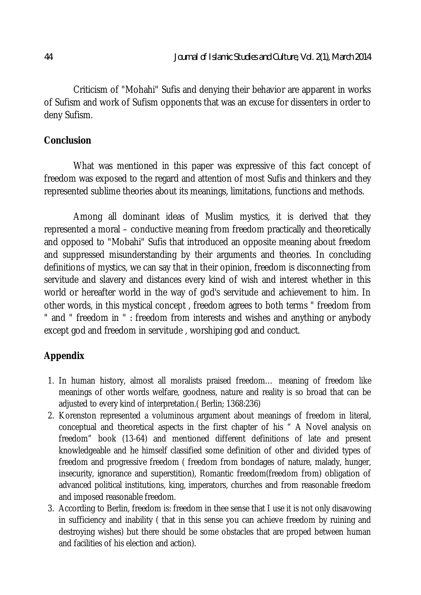Criticism of "Mohahi" Sufis and denying their behavior are apparent in works of Sufism and work of Sufism opponents that was an excuse for dissenters in order to deny Sufism.

# **Conclusion**

What was mentioned in this paper was expressive of this fact concept of freedom was exposed to the regard and attention of most Sufis and thinkers and they represented sublime theories about its meanings, limitations, functions and methods.

Among all dominant ideas of Muslim mystics, it is derived that they represented a moral – conductive meaning from freedom practically and theoretically and opposed to "Mobahi" Sufis that introduced an opposite meaning about freedom and suppressed misunderstanding by their arguments and theories. In concluding definitions of mystics, we can say that in their opinion, freedom is disconnecting from servitude and slavery and distances every kind of wish and interest whether in this world or hereafter world in the way of god's servitude and achievement to him. In other words, in this mystical concept , freedom agrees to both terms " freedom from " and " freedom in " : freedom from interests and wishes and anything or anybody except god and freedom in servitude , worshiping god and conduct.

# **Appendix**

- 1. In human history, almost all moralists praised freedom… meaning of freedom like meanings of other words welfare, goodness, nature and reality is so broad that can be adjusted to every kind of interpretation.( Berlin; 1368:236)
- 2. Korenston represented a voluminous argument about meanings of freedom in literal, conceptual and theoretical aspects in the first chapter of his " A Novel analysis on freedom" book (13-64) and mentioned different definitions of late and present knowledgeable and he himself classified some definition of other and divided types of freedom and progressive freedom ( freedom from bondages of nature, malady, hunger, insecurity, ignorance and superstition), Romantic freedom(freedom from) obligation of advanced political institutions, king, imperators, churches and from reasonable freedom and imposed reasonable freedom.
- 3. According to Berlin, freedom is: freedom in thee sense that I use it is not only disavowing in sufficiency and inability ( that in this sense you can achieve freedom by ruining and destroying wishes) but there should be some obstacles that are proped between human and facilities of his election and action).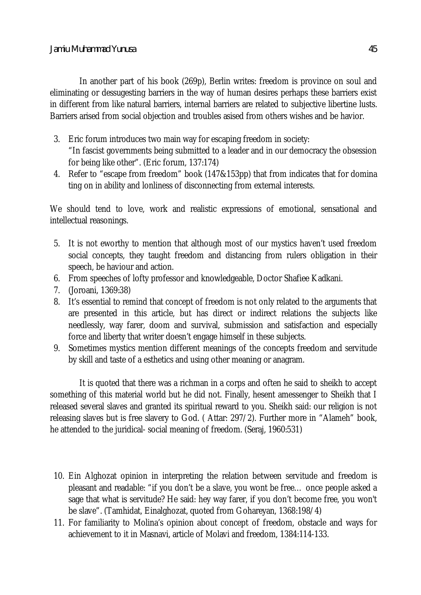In another part of his book (269p), Berlin writes: freedom is province on soul and eliminating or dessugesting barriers in the way of human desires perhaps these barriers exist in different from like natural barriers, internal barriers are related to subjective libertine lusts. Barriers arised from social objection and troubles asised from others wishes and be havior.

- 3. Eric forum introduces two main way for escaping freedom in society: "In fascist governments being submitted to a leader and in our democracy the obsession for being like other". (Eric forum, 137:174)
- 4. Refer to "escape from freedom" book (147&153pp) that from indicates that for domina ting on in ability and lonliness of disconnecting from external interests.

We should tend to love, work and realistic expressions of emotional, sensational and intellectual reasonings.

- 5. It is not eworthy to mention that although most of our mystics haven't used freedom social concepts, they taught freedom and distancing from rulers obligation in their speech, be haviour and action.
- 6. From speeches of lofty professor and knowledgeable, Doctor Shafiee Kadkani.
- 7. (Joroani, 1369:38)
- 8. It's essential to remind that concept of freedom is not only related to the arguments that are presented in this article, but has direct or indirect relations the subjects like needlessly, way farer, doom and survival, submission and satisfaction and especially force and liberty that writer doesn't engage himself in these subjects.
- 9. Sometimes mystics mention different meanings of the concepts freedom and servitude by skill and taste of a esthetics and using other meaning or anagram.

It is quoted that there was a richman in a corps and often he said to sheikh to accept something of this material world but he did not. Finally, hesent amessenger to Sheikh that I released several slaves and granted its spiritual reward to you. Sheikh said: our religion is not releasing slaves but is free slavery to God. ( Attar: 297/2). Further more in "Alameh" book, he attended to the juridical- social meaning of freedom. (Seraj, 1960:531)

- 10. Ein Alghozat opinion in interpreting the relation between servitude and freedom is pleasant and readable: "if you don't be a slave, you wont be free… once people asked a sage that what is servitude? He said: hey way farer, if you don't become free, you won't be slave". (Tamhidat, Einalghozat, quoted from Gohareyan, 1368:198/4)
- 11. For familiarity to Molina's opinion about concept of freedom, obstacle and ways for achievement to it in Masnavi, article of Molavi and freedom, 1384:114-133.